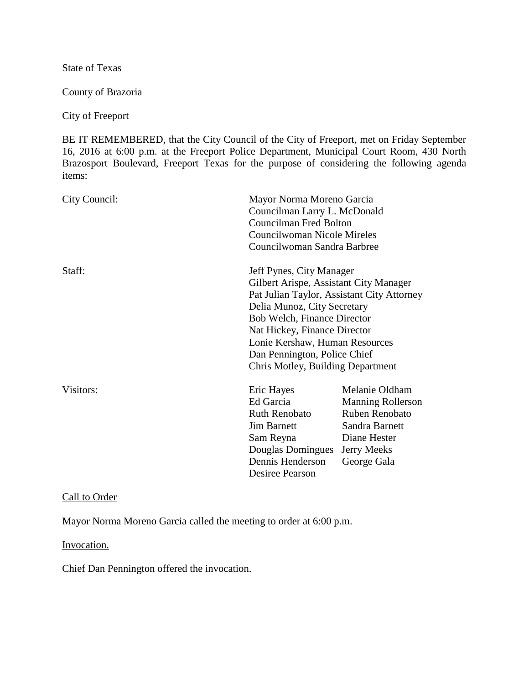State of Texas

County of Brazoria

City of Freeport

BE IT REMEMBERED, that the City Council of the City of Freeport, met on Friday September 16, 2016 at 6:00 p.m. at the Freeport Police Department, Municipal Court Room, 430 North Brazosport Boulevard, Freeport Texas for the purpose of considering the following agenda items:

| City Council: |                                                                                                                                                | Mayor Norma Moreno Garcia<br>Councilman Larry L. McDonald<br><b>Councilman Fred Bolton</b><br>Councilwoman Nicole Mireles<br>Councilwoman Sandra Barbree                                    |  |
|---------------|------------------------------------------------------------------------------------------------------------------------------------------------|---------------------------------------------------------------------------------------------------------------------------------------------------------------------------------------------|--|
| Staff:        | Jeff Pynes, City Manager<br>Delia Munoz, City Secretary<br>Bob Welch, Finance Director<br>Nat Hickey, Finance Director                         | Gilbert Arispe, Assistant City Manager<br>Pat Julian Taylor, Assistant City Attorney<br>Lonie Kershaw, Human Resources<br>Dan Pennington, Police Chief<br>Chris Motley, Building Department |  |
| Visitors:     | Eric Hayes<br>Ed Garcia<br><b>Ruth Renobato</b><br><b>Jim Barnett</b><br>Sam Reyna<br>Douglas Domingues<br>Dennis Henderson<br>Desiree Pearson | Melanie Oldham<br><b>Manning Rollerson</b><br>Ruben Renobato<br>Sandra Barnett<br>Diane Hester<br>Jerry Meeks<br>George Gala                                                                |  |

## Call to Order

Mayor Norma Moreno Garcia called the meeting to order at 6:00 p.m.

#### Invocation.

Chief Dan Pennington offered the invocation.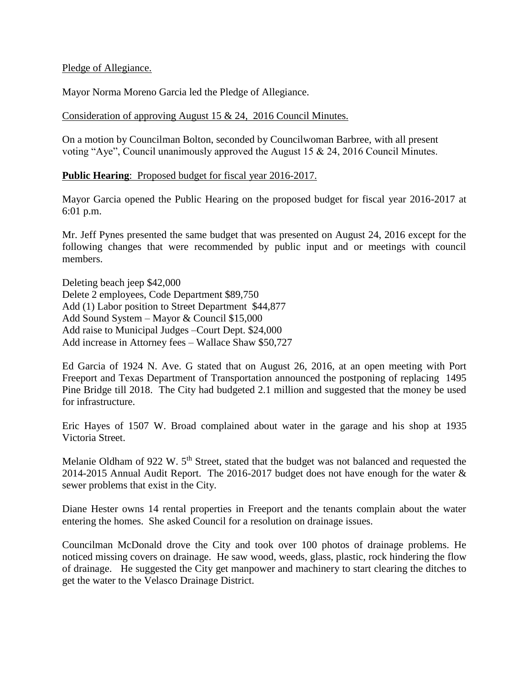### Pledge of Allegiance.

Mayor Norma Moreno Garcia led the Pledge of Allegiance.

Consideration of approving August 15 & 24, 2016 Council Minutes.

On a motion by Councilman Bolton, seconded by Councilwoman Barbree, with all present voting "Aye", Council unanimously approved the August 15 & 24, 2016 Council Minutes.

### **Public Hearing**: Proposed budget for fiscal year 2016-2017.

Mayor Garcia opened the Public Hearing on the proposed budget for fiscal year 2016-2017 at 6:01 p.m.

Mr. Jeff Pynes presented the same budget that was presented on August 24, 2016 except for the following changes that were recommended by public input and or meetings with council members.

Deleting beach jeep \$42,000 Delete 2 employees, Code Department \$89,750 Add (1) Labor position to Street Department \$44,877 Add Sound System – Mayor & Council \$15,000 Add raise to Municipal Judges –Court Dept. \$24,000 Add increase in Attorney fees – Wallace Shaw \$50,727

Ed Garcia of 1924 N. Ave. G stated that on August 26, 2016, at an open meeting with Port Freeport and Texas Department of Transportation announced the postponing of replacing 1495 Pine Bridge till 2018. The City had budgeted 2.1 million and suggested that the money be used for infrastructure.

Eric Hayes of 1507 W. Broad complained about water in the garage and his shop at 1935 Victoria Street.

Melanie Oldham of 922 W. 5<sup>th</sup> Street, stated that the budget was not balanced and requested the 2014-2015 Annual Audit Report. The 2016-2017 budget does not have enough for the water & sewer problems that exist in the City.

Diane Hester owns 14 rental properties in Freeport and the tenants complain about the water entering the homes. She asked Council for a resolution on drainage issues.

Councilman McDonald drove the City and took over 100 photos of drainage problems. He noticed missing covers on drainage. He saw wood, weeds, glass, plastic, rock hindering the flow of drainage. He suggested the City get manpower and machinery to start clearing the ditches to get the water to the Velasco Drainage District.